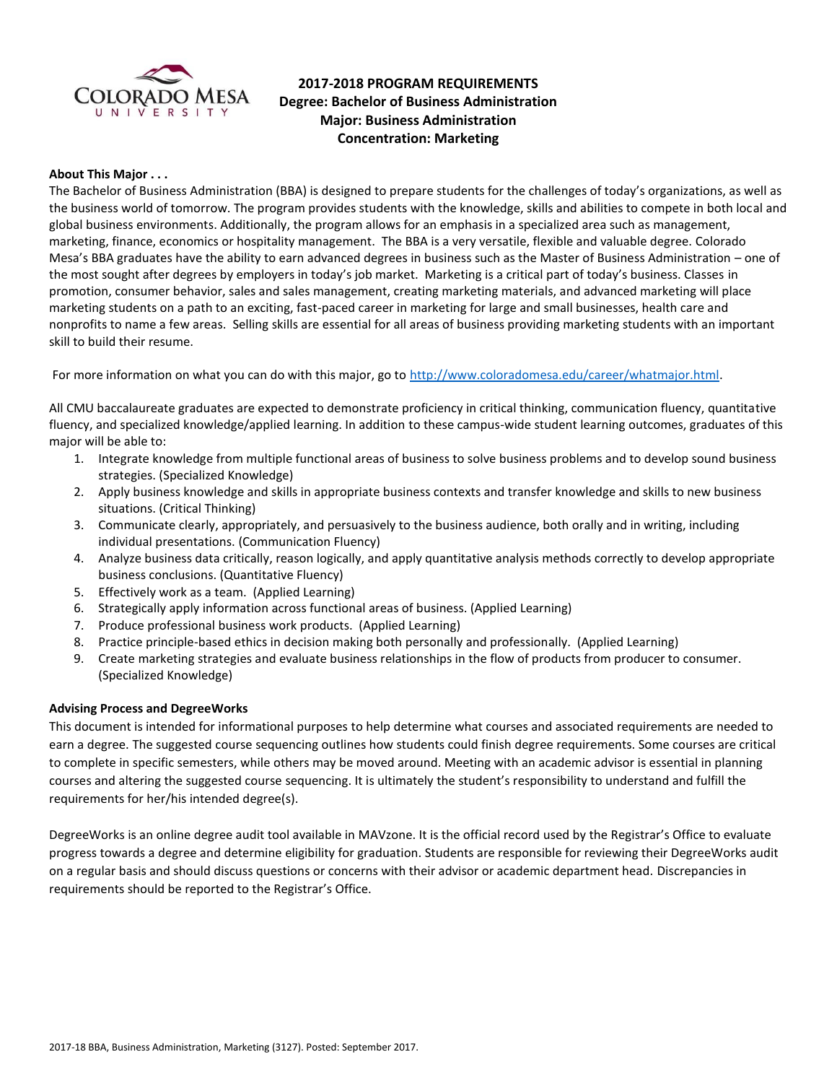

# **2017-2018 PROGRAM REQUIREMENTS Degree: Bachelor of Business Administration Major: Business Administration Concentration: Marketing**

### **About This Major . . .**

The Bachelor of Business Administration (BBA) is designed to prepare students for the challenges of today's organizations, as well as the business world of tomorrow. The program provides students with the knowledge, skills and abilities to compete in both local and global business environments. Additionally, the program allows for an emphasis in a specialized area such as management, marketing, finance, economics or hospitality management. The BBA is a very versatile, flexible and valuable degree. Colorado Mesa's BBA graduates have the ability to earn advanced degrees in business such as the Master of Business Administration – one of the most sought after degrees by employers in today's job market. Marketing is a critical part of today's business. Classes in promotion, consumer behavior, sales and sales management, creating marketing materials, and advanced marketing will place marketing students on a path to an exciting, fast-paced career in marketing for large and small businesses, health care and nonprofits to name a few areas. Selling skills are essential for all areas of business providing marketing students with an important skill to build their resume.

For more information on what you can do with this major, go to [http://www.coloradomesa.edu/career/whatmajor.html.](http://www.coloradomesa.edu/career/whatmajor.html)

All CMU baccalaureate graduates are expected to demonstrate proficiency in critical thinking, communication fluency, quantitative fluency, and specialized knowledge/applied learning. In addition to these campus-wide student learning outcomes, graduates of this major will be able to:

- 1. Integrate knowledge from multiple functional areas of business to solve business problems and to develop sound business strategies. (Specialized Knowledge)
- 2. Apply business knowledge and skills in appropriate business contexts and transfer knowledge and skills to new business situations. (Critical Thinking)
- 3. Communicate clearly, appropriately, and persuasively to the business audience, both orally and in writing, including individual presentations. (Communication Fluency)
- 4. Analyze business data critically, reason logically, and apply quantitative analysis methods correctly to develop appropriate business conclusions. (Quantitative Fluency)
- 5. Effectively work as a team. (Applied Learning)
- 6. Strategically apply information across functional areas of business. (Applied Learning)
- 7. Produce professional business work products. (Applied Learning)
- 8. Practice principle-based ethics in decision making both personally and professionally. (Applied Learning)
- 9. Create marketing strategies and evaluate business relationships in the flow of products from producer to consumer. (Specialized Knowledge)

### **Advising Process and DegreeWorks**

This document is intended for informational purposes to help determine what courses and associated requirements are needed to earn a degree. The suggested course sequencing outlines how students could finish degree requirements. Some courses are critical to complete in specific semesters, while others may be moved around. Meeting with an academic advisor is essential in planning courses and altering the suggested course sequencing. It is ultimately the student's responsibility to understand and fulfill the requirements for her/his intended degree(s).

DegreeWorks is an online degree audit tool available in MAVzone. It is the official record used by the Registrar's Office to evaluate progress towards a degree and determine eligibility for graduation. Students are responsible for reviewing their DegreeWorks audit on a regular basis and should discuss questions or concerns with their advisor or academic department head. Discrepancies in requirements should be reported to the Registrar's Office.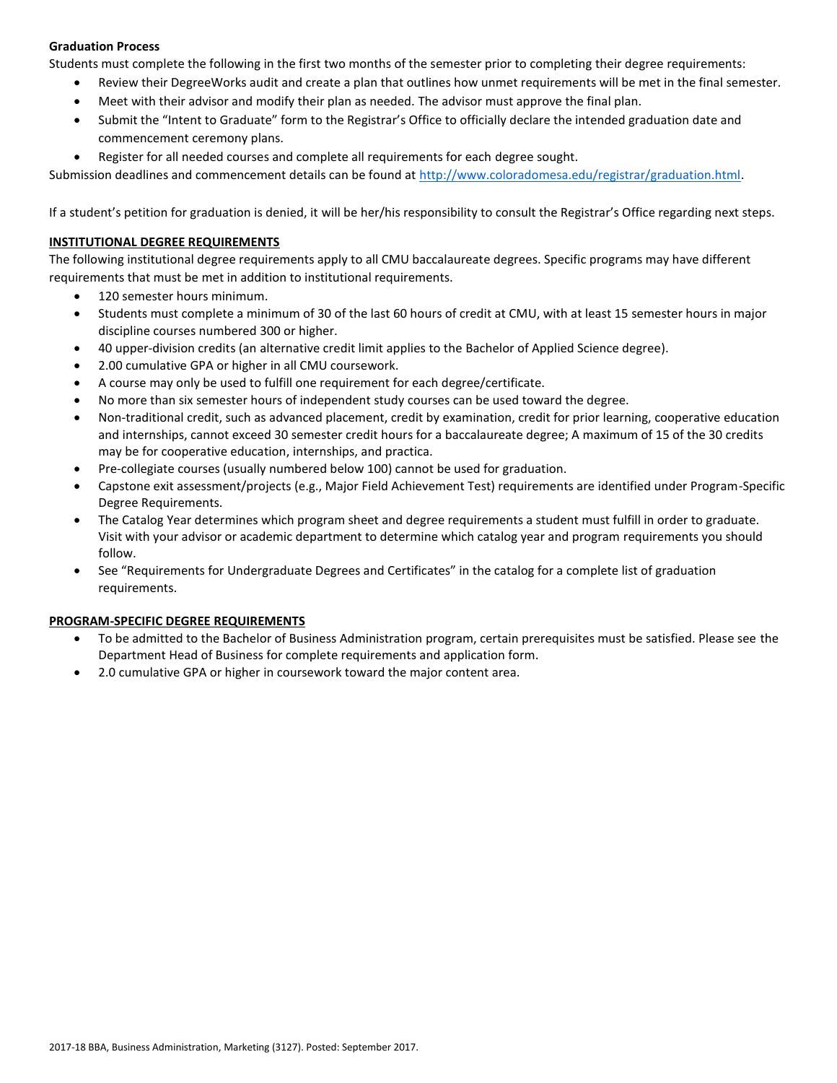# **Graduation Process**

Students must complete the following in the first two months of the semester prior to completing their degree requirements:

- Review their DegreeWorks audit and create a plan that outlines how unmet requirements will be met in the final semester.
- Meet with their advisor and modify their plan as needed. The advisor must approve the final plan.
- Submit the "Intent to Graduate" form to the Registrar's Office to officially declare the intended graduation date and commencement ceremony plans.
- Register for all needed courses and complete all requirements for each degree sought.

Submission deadlines and commencement details can be found at [http://www.coloradomesa.edu/registrar/graduation.html.](http://www.coloradomesa.edu/registrar/graduation.html)

If a student's petition for graduation is denied, it will be her/his responsibility to consult the Registrar's Office regarding next steps.

### **INSTITUTIONAL DEGREE REQUIREMENTS**

The following institutional degree requirements apply to all CMU baccalaureate degrees. Specific programs may have different requirements that must be met in addition to institutional requirements.

- 120 semester hours minimum.
- Students must complete a minimum of 30 of the last 60 hours of credit at CMU, with at least 15 semester hours in major discipline courses numbered 300 or higher.
- 40 upper-division credits (an alternative credit limit applies to the Bachelor of Applied Science degree).
- 2.00 cumulative GPA or higher in all CMU coursework.
- A course may only be used to fulfill one requirement for each degree/certificate.
- No more than six semester hours of independent study courses can be used toward the degree.
- Non-traditional credit, such as advanced placement, credit by examination, credit for prior learning, cooperative education and internships, cannot exceed 30 semester credit hours for a baccalaureate degree; A maximum of 15 of the 30 credits may be for cooperative education, internships, and practica.
- Pre-collegiate courses (usually numbered below 100) cannot be used for graduation.
- Capstone exit assessment/projects (e.g., Major Field Achievement Test) requirements are identified under Program-Specific Degree Requirements.
- The Catalog Year determines which program sheet and degree requirements a student must fulfill in order to graduate. Visit with your advisor or academic department to determine which catalog year and program requirements you should follow.
- See "Requirements for Undergraduate Degrees and Certificates" in the catalog for a complete list of graduation requirements.

### **PROGRAM-SPECIFIC DEGREE REQUIREMENTS**

- To be admitted to the Bachelor of Business Administration program, certain prerequisites must be satisfied. Please see the Department Head of Business for complete requirements and application form.
- 2.0 cumulative GPA or higher in coursework toward the major content area.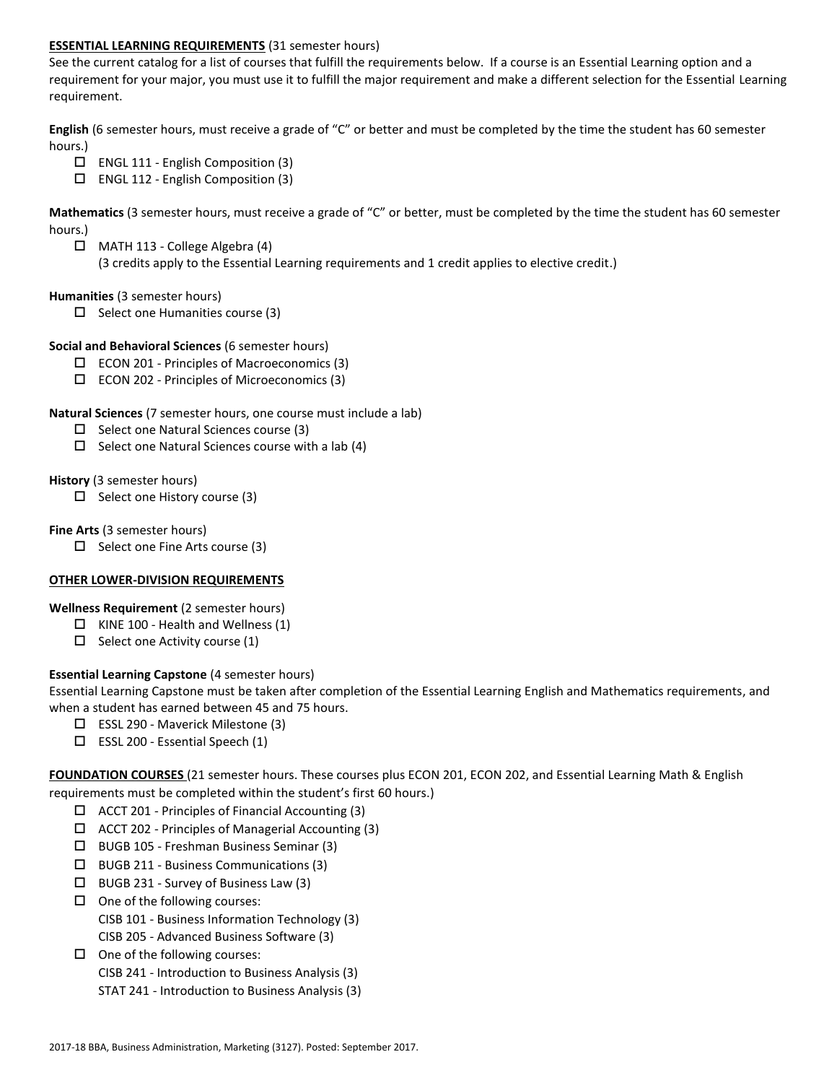### **ESSENTIAL LEARNING REQUIREMENTS** (31 semester hours)

See the current catalog for a list of courses that fulfill the requirements below. If a course is an Essential Learning option and a requirement for your major, you must use it to fulfill the major requirement and make a different selection for the Essential Learning requirement.

**English** (6 semester hours, must receive a grade of "C" or better and must be completed by the time the student has 60 semester hours.)

- $\Box$  ENGL 111 English Composition (3)
- $\Box$  ENGL 112 English Composition (3)

**Mathematics** (3 semester hours, must receive a grade of "C" or better, must be completed by the time the student has 60 semester hours.)

 MATH 113 - College Algebra (4) (3 credits apply to the Essential Learning requirements and 1 credit applies to elective credit.)

### **Humanities** (3 semester hours)

 $\Box$  Select one Humanities course (3)

### **Social and Behavioral Sciences** (6 semester hours)

- $\square$  ECON 201 Principles of Macroeconomics (3)
- ECON 202 Principles of Microeconomics (3)

### **Natural Sciences** (7 semester hours, one course must include a lab)

- $\Box$  Select one Natural Sciences course (3)
- $\Box$  Select one Natural Sciences course with a lab (4)

### **History** (3 semester hours)

 $\Box$  Select one History course (3)

### **Fine Arts** (3 semester hours)

 $\Box$  Select one Fine Arts course (3)

# **OTHER LOWER-DIVISION REQUIREMENTS**

# **Wellness Requirement** (2 semester hours)

- $\Box$  KINE 100 Health and Wellness (1)
- $\Box$  Select one Activity course (1)

# **Essential Learning Capstone** (4 semester hours)

Essential Learning Capstone must be taken after completion of the Essential Learning English and Mathematics requirements, and when a student has earned between 45 and 75 hours.

- $\Box$  ESSL 290 Maverick Milestone (3)
- $\square$  ESSL 200 Essential Speech (1)

**FOUNDATION COURSES** (21 semester hours. These courses plus ECON 201, ECON 202, and Essential Learning Math & English requirements must be completed within the student's first 60 hours.)

- $\Box$  ACCT 201 Principles of Financial Accounting (3)
- $\Box$  ACCT 202 Principles of Managerial Accounting (3)
- BUGB 105 Freshman Business Seminar (3)
- BUGB 211 Business Communications (3)
- $\Box$  BUGB 231 Survey of Business Law (3)
- $\Box$  One of the following courses: CISB 101 - Business Information Technology (3) CISB 205 - Advanced Business Software (3)
- $\Box$  One of the following courses:
	- CISB 241 Introduction to Business Analysis (3)
	- STAT 241 Introduction to Business Analysis (3)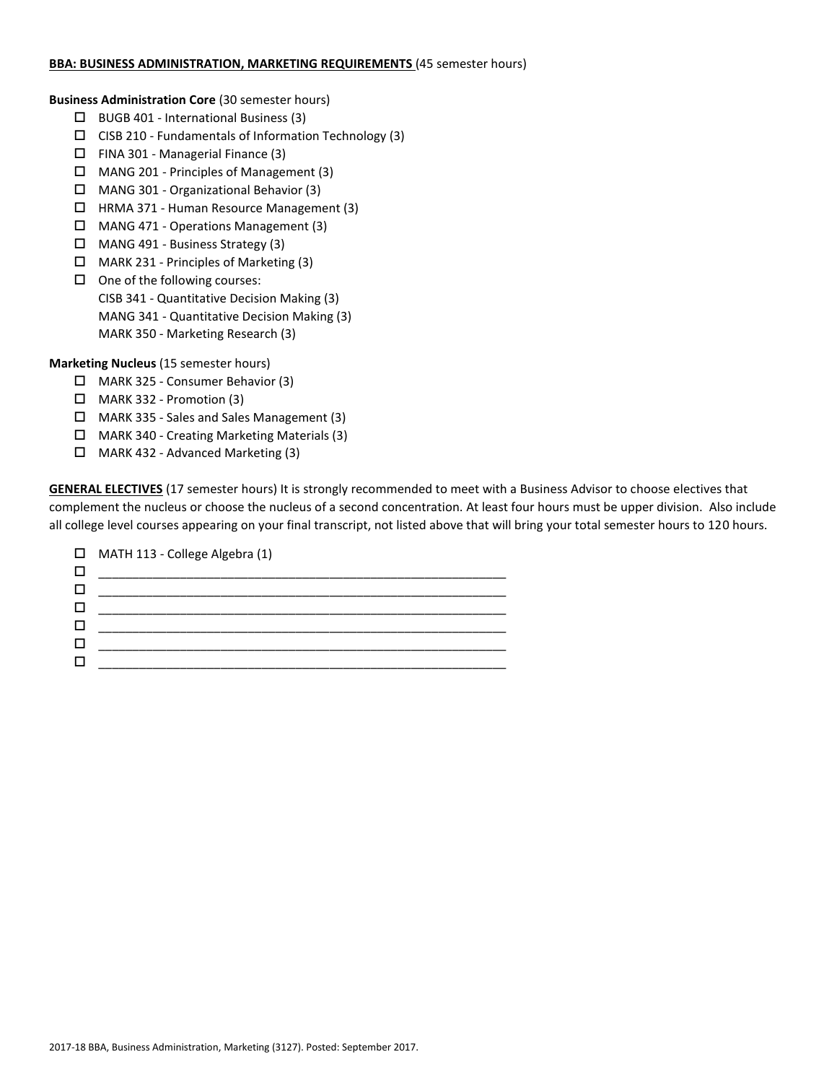### **BBA: BUSINESS ADMINISTRATION, MARKETING REQUIREMENTS** (45 semester hours)

**Business Administration Core** (30 semester hours)

- $\Box$  BUGB 401 International Business (3)
- $\square$  CISB 210 Fundamentals of Information Technology (3)
- $\Box$  FINA 301 Managerial Finance (3)
- MANG 201 Principles of Management (3)
- MANG 301 Organizational Behavior (3)
- HRMA 371 Human Resource Management (3)
- MANG 471 Operations Management (3)
- MANG 491 Business Strategy (3)
- MARK 231 Principles of Marketing (3)
- $\Box$  One of the following courses: CISB 341 - Quantitative Decision Making (3) MANG 341 - Quantitative Decision Making (3) MARK 350 - Marketing Research (3)

**Marketing Nucleus** (15 semester hours)

- MARK 325 Consumer Behavior (3)
- $\Box$  MARK 332 Promotion (3)
- MARK 335 Sales and Sales Management (3)
- MARK 340 Creating Marketing Materials (3)
- $\Box$  MARK 432 Advanced Marketing (3)

**GENERAL ELECTIVES** (17 semester hours) It is strongly recommended to meet with a Business Advisor to choose electives that complement the nucleus or choose the nucleus of a second concentration. At least four hours must be upper division. Also include all college level courses appearing on your final transcript, not listed above that will bring your total semester hours to 120 hours.